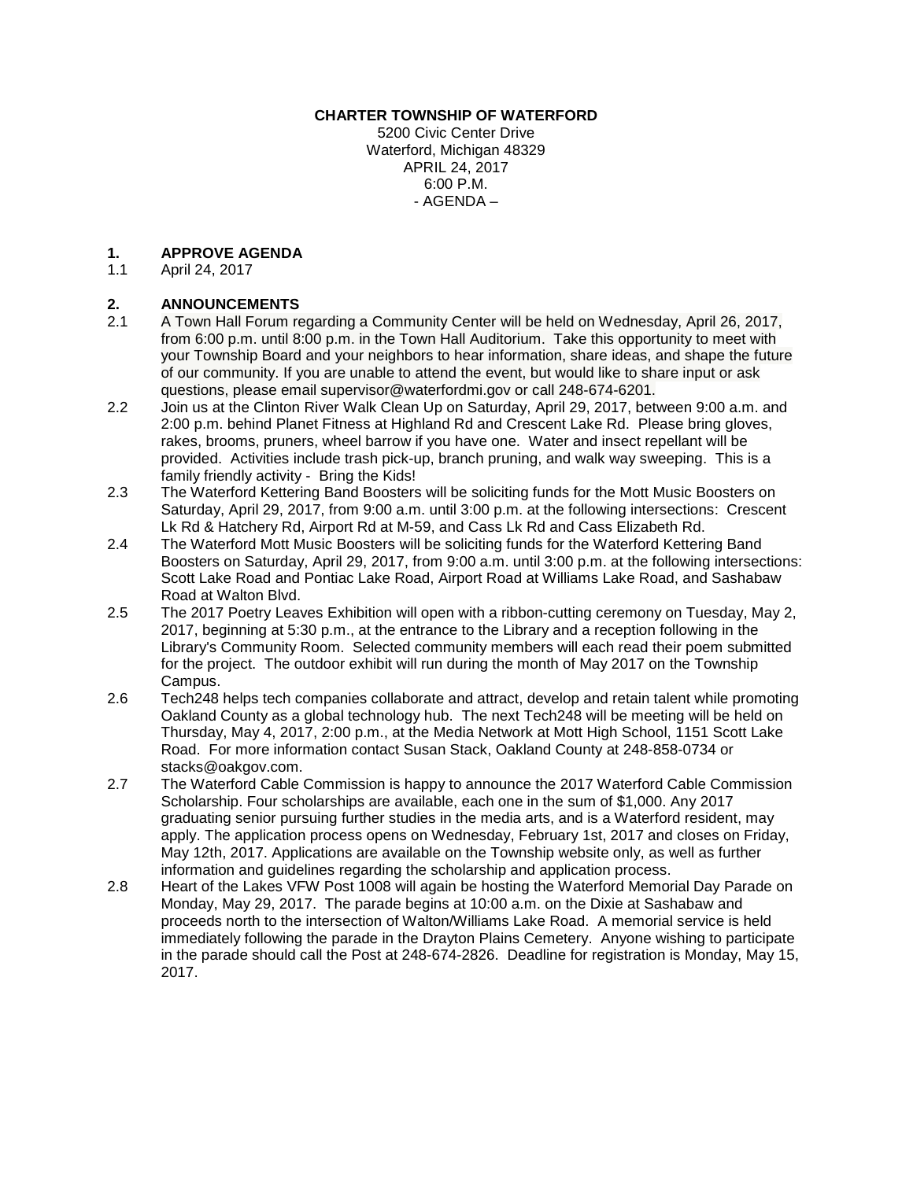#### **CHARTER TOWNSHIP OF WATERFORD**

5200 Civic Center Drive Waterford, Michigan 48329 APRIL 24, 2017 6:00 P.M. - AGENDA –

## **1. APPROVE AGENDA**

April 24, 2017

# **2. ANNOUNCEMENTS**<br>**2.1** A Town Hall Forum re

- 2.1 A Town Hall Forum regarding a Community Center will be held on Wednesday, April 26, 2017, from 6:00 p.m. until 8:00 p.m. in the Town Hall Auditorium. Take this opportunity to meet with your Township Board and your neighbors to hear information, share ideas, and shape the future of our community. If you are unable to attend the event, but would like to share input or ask questions, please email supervisor@waterfordmi.gov or call 248-674-6201.
- 2.2 Join us at the Clinton River Walk Clean Up on Saturday, April 29, 2017, between 9:00 a.m. and 2:00 p.m. behind Planet Fitness at Highland Rd and Crescent Lake Rd. Please bring gloves, rakes, brooms, pruners, wheel barrow if you have one. Water and insect repellant will be provided. Activities include trash pick-up, branch pruning, and walk way sweeping. This is a family friendly activity - Bring the Kids!
- 2.3 The Waterford Kettering Band Boosters will be soliciting funds for the Mott Music Boosters on Saturday, April 29, 2017, from 9:00 a.m. until 3:00 p.m. at the following intersections: Crescent Lk Rd & Hatchery Rd, Airport Rd at M-59, and Cass Lk Rd and Cass Elizabeth Rd.
- 2.4 The Waterford Mott Music Boosters will be soliciting funds for the Waterford Kettering Band Boosters on Saturday, April 29, 2017, from 9:00 a.m. until 3:00 p.m. at the following intersections: Scott Lake Road and Pontiac Lake Road, Airport Road at Williams Lake Road, and Sashabaw Road at Walton Blvd.
- 2.5 The 2017 Poetry Leaves Exhibition will open with a ribbon-cutting ceremony on Tuesday, May 2, 2017, beginning at 5:30 p.m., at the entrance to the Library and a reception following in the Library's Community Room. Selected community members will each read their poem submitted for the project. The outdoor exhibit will run during the month of May 2017 on the Township Campus.
- 2.6 Tech248 helps tech companies collaborate and attract, develop and retain talent while promoting Oakland County as a global technology hub. The next Tech248 will be meeting will be held on Thursday, May 4, 2017, 2:00 p.m., at the Media Network at Mott High School, 1151 Scott Lake Road. For more information contact Susan Stack, Oakland County at 248-858-0734 or stacks@oakgov.com.
- 2.7 The Waterford Cable Commission is happy to announce the 2017 Waterford Cable Commission Scholarship. Four scholarships are available, each one in the sum of \$1,000. Any 2017 graduating senior pursuing further studies in the media arts, and is a Waterford resident, may apply. The application process opens on Wednesday, February 1st, 2017 and closes on Friday, May 12th, 2017. Applications are available on the Township website only, as well as further information and guidelines regarding the scholarship and application process.
- 2.8 Heart of the Lakes VFW Post 1008 will again be hosting the Waterford Memorial Day Parade on Monday, May 29, 2017. The parade begins at 10:00 a.m. on the Dixie at Sashabaw and proceeds north to the intersection of Walton/Williams Lake Road. A memorial service is held immediately following the parade in the Drayton Plains Cemetery. Anyone wishing to participate in the parade should call the Post at 248-674-2826. Deadline for registration is Monday, May 15, 2017.